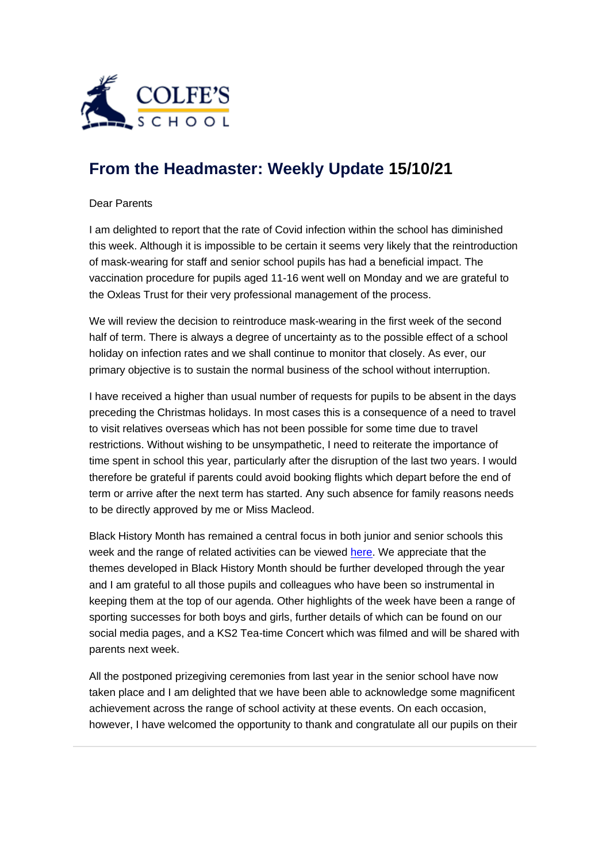

## **[From the Headmaster: Weekly Update](https://urlsand.esvalabs.com/?u=https%3A%2F%2Fschoolpostcdn.blob.core.windows.net%2Fpublic%2F~%2Femail-test-message.html&e=f4e25f66&h=847ca343&f=y&p=y) 15/10/21**

## Dear Parents

I am delighted to report that the rate of Covid infection within the school has diminished this week. Although it is impossible to be certain it seems very likely that the reintroduction of mask-wearing for staff and senior school pupils has had a beneficial impact. The vaccination procedure for pupils aged 11-16 went well on Monday and we are grateful to the Oxleas Trust for their very professional management of the process.

We will review the decision to reintroduce mask-wearing in the first week of the second half of term. There is always a degree of uncertainty as to the possible effect of a school holiday on infection rates and we shall continue to monitor that closely. As ever, our primary objective is to sustain the normal business of the school without interruption.

I have received a higher than usual number of requests for pupils to be absent in the days preceding the Christmas holidays. In most cases this is a consequence of a need to travel to visit relatives overseas which has not been possible for some time due to travel restrictions. Without wishing to be unsympathetic, I need to reiterate the importance of time spent in school this year, particularly after the disruption of the last two years. I would therefore be grateful if parents could avoid booking flights which depart before the end of term or arrive after the next term has started. Any such absence for family reasons needs to be directly approved by me or Miss Macleod.

Black History Month has remained a central focus in both junior and senior schools this week and the range of related activities can be viewed [here.](https://urlsand.esvalabs.com/?u=https%3A%2F%2Fwww.colfes.com%2Fnews%2Fblack-history-at-colfes%2F&e=f4e25f66&h=35833c44&f=y&p=y) We appreciate that the themes developed in Black History Month should be further developed through the year and I am grateful to all those pupils and colleagues who have been so instrumental in keeping them at the top of our agenda. Other highlights of the week have been a range of sporting successes for both boys and girls, further details of which can be found on our social media pages, and a KS2 Tea-time Concert which was filmed and will be shared with parents next week.

All the postponed prizegiving ceremonies from last year in the senior school have now taken place and I am delighted that we have been able to acknowledge some magnificent achievement across the range of school activity at these events. On each occasion, however, I have welcomed the opportunity to thank and congratulate all our pupils on their